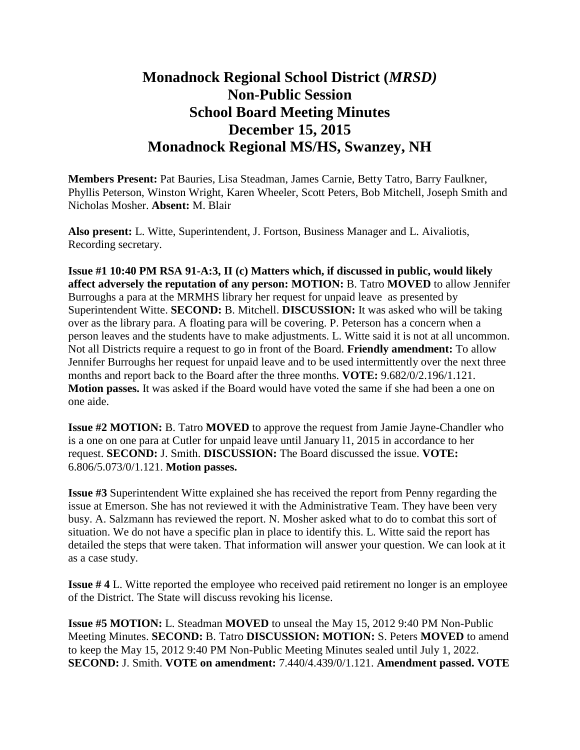## **Monadnock Regional School District (***MRSD)* **Non-Public Session School Board Meeting Minutes December 15, 2015 Monadnock Regional MS/HS, Swanzey, NH**

**Members Present:** Pat Bauries, Lisa Steadman, James Carnie, Betty Tatro, Barry Faulkner, Phyllis Peterson, Winston Wright, Karen Wheeler, Scott Peters, Bob Mitchell, Joseph Smith and Nicholas Mosher. **Absent:** M. Blair

**Also present:** L. Witte, Superintendent, J. Fortson, Business Manager and L. Aivaliotis, Recording secretary.

**Issue #1 10:40 PM RSA 91-A:3, II (c) Matters which, if discussed in public, would likely affect adversely the reputation of any person: MOTION:** B. Tatro **MOVED** to allow Jennifer Burroughs a para at the MRMHS library her request for unpaid leave as presented by Superintendent Witte. **SECOND:** B. Mitchell. **DISCUSSION:** It was asked who will be taking over as the library para. A floating para will be covering. P. Peterson has a concern when a person leaves and the students have to make adjustments. L. Witte said it is not at all uncommon. Not all Districts require a request to go in front of the Board. **Friendly amendment:** To allow Jennifer Burroughs her request for unpaid leave and to be used intermittently over the next three months and report back to the Board after the three months. **VOTE:** 9.682/0/2.196/1.121. **Motion passes.** It was asked if the Board would have voted the same if she had been a one on one aide.

**Issue #2 MOTION: B. Tatro <b>MOVED** to approve the request from Jamie Jayne-Chandler who is a one on one para at Cutler for unpaid leave until January l1, 2015 in accordance to her request. **SECOND:** J. Smith. **DISCUSSION:** The Board discussed the issue. **VOTE:**  6.806/5.073/0/1.121. **Motion passes.** 

**Issue #3** Superintendent Witte explained she has received the report from Penny regarding the issue at Emerson. She has not reviewed it with the Administrative Team. They have been very busy. A. Salzmann has reviewed the report. N. Mosher asked what to do to combat this sort of situation. We do not have a specific plan in place to identify this. L. Witte said the report has detailed the steps that were taken. That information will answer your question. We can look at it as a case study.

**Issue # 4** L. Witte reported the employee who received paid retirement no longer is an employee of the District. The State will discuss revoking his license.

**Issue #5 MOTION:** L. Steadman **MOVED** to unseal the May 15, 2012 9:40 PM Non-Public Meeting Minutes. **SECOND:** B. Tatro **DISCUSSION: MOTION:** S. Peters **MOVED** to amend to keep the May 15, 2012 9:40 PM Non-Public Meeting Minutes sealed until July 1, 2022. **SECOND:** J. Smith. **VOTE on amendment:** 7.440/4.439/0/1.121. **Amendment passed. VOTE**